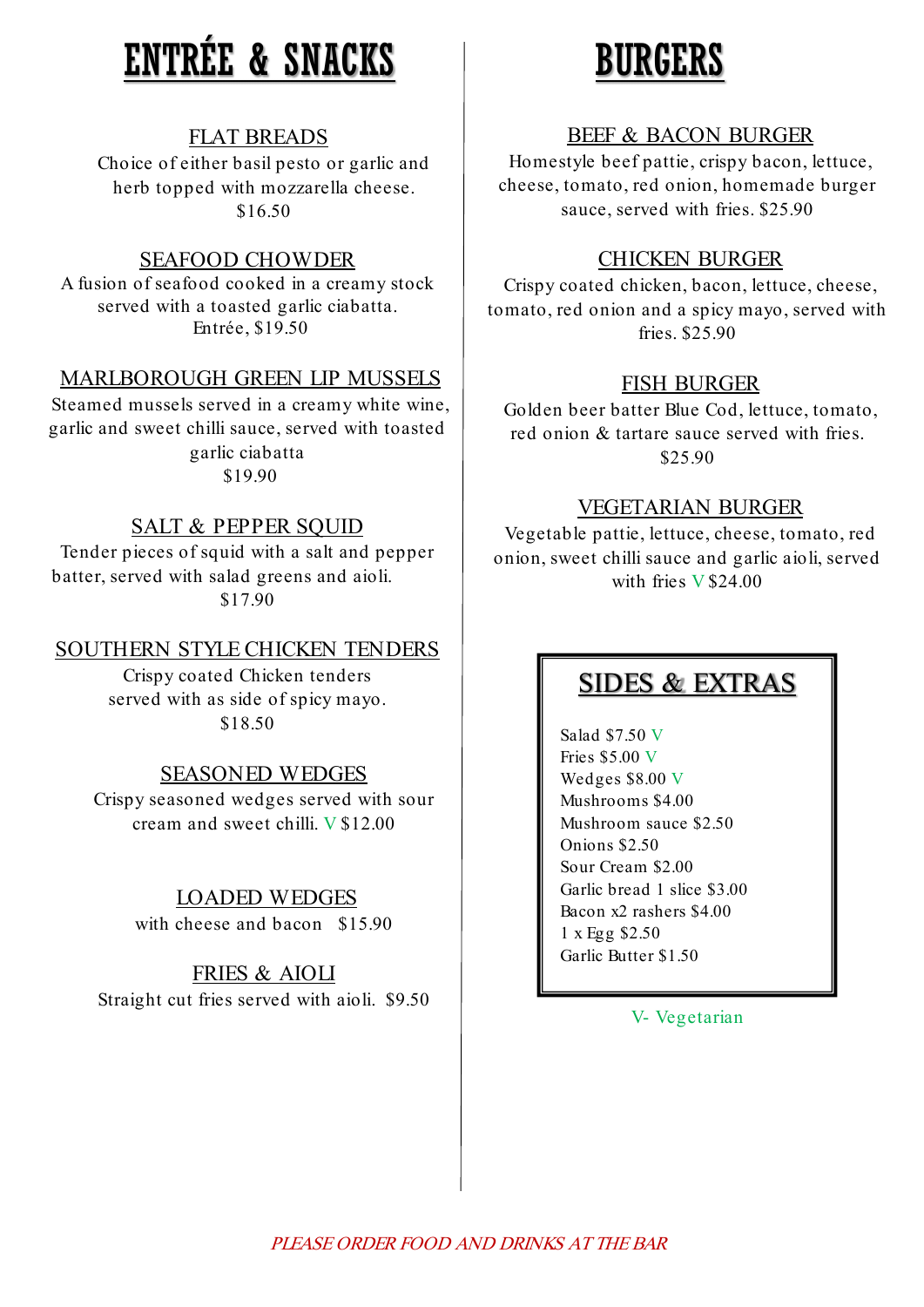# ENTRÉE & SNACKS

# FLAT BREADS

Choice of either basil pesto or garlic and herb topped with mozzarella cheese. \$16.50

# SEAFOOD CHOWDER

A fusion of seafood cooked in a creamy stock served with a toasted garlic ciabatta. Entrée, \$19.50

# MARLBOROUGH GREEN LIP MUSSELS

Steamed mussels served in a creamy white wine, garlic and sweet chilli sauce, served with toasted garlic ciabatta \$19.90

# SALT & PEPPER SQUID

Tender pieces of squid with a salt and pepper batter, served with salad greens and aioli. \$17.90

## SOUTHERN STYLE CHICKEN TENDERS

Crispy coated Chicken tenders served with as side of spicy mayo. \$18.50

# SEASONED WEDGES

Crispy seasoned wedges served with sour cream and sweet chilli. V \$12.00

# LOADED WEDGES

with cheese and bacon \$15.90

# FRIES & AIOLI

Straight cut fries served with aioli. \$9.50

# BURGERS

# BEEF & BACON BURGER

Homestyle beef pattie, crispy bacon, lettuce, cheese, tomato, red onion, homemade burger sauce, served with fries. \$25.90

# CHICKEN BURGER

Crispy coated chicken, bacon, lettuce, cheese, tomato, red onion and a spicy mayo, served with fries. \$25.90

# FISH BURGER

Golden beer batter Blue Cod, lettuce, tomato, red onion & tartare sauce served with fries. \$25.90

# VEGETARIAN BURGER

Vegetable pattie, lettuce, cheese, tomato, red onion, sweet chilli sauce and garlic aioli, served with fries V \$24.00

# SIDES & EXTRAS

Salad \$7.50 V Fries \$5.00 V Wedges \$8.00 V Mushrooms \$4.00 Mushroom sauce \$2.50 Onions \$2.50 Sour Cream \$2.00 Garlic bread 1 slice \$3.00 Bacon x2 rashers \$4.00 1 x Egg \$2.50 Garlic Butter \$1.50

V- Vegetarian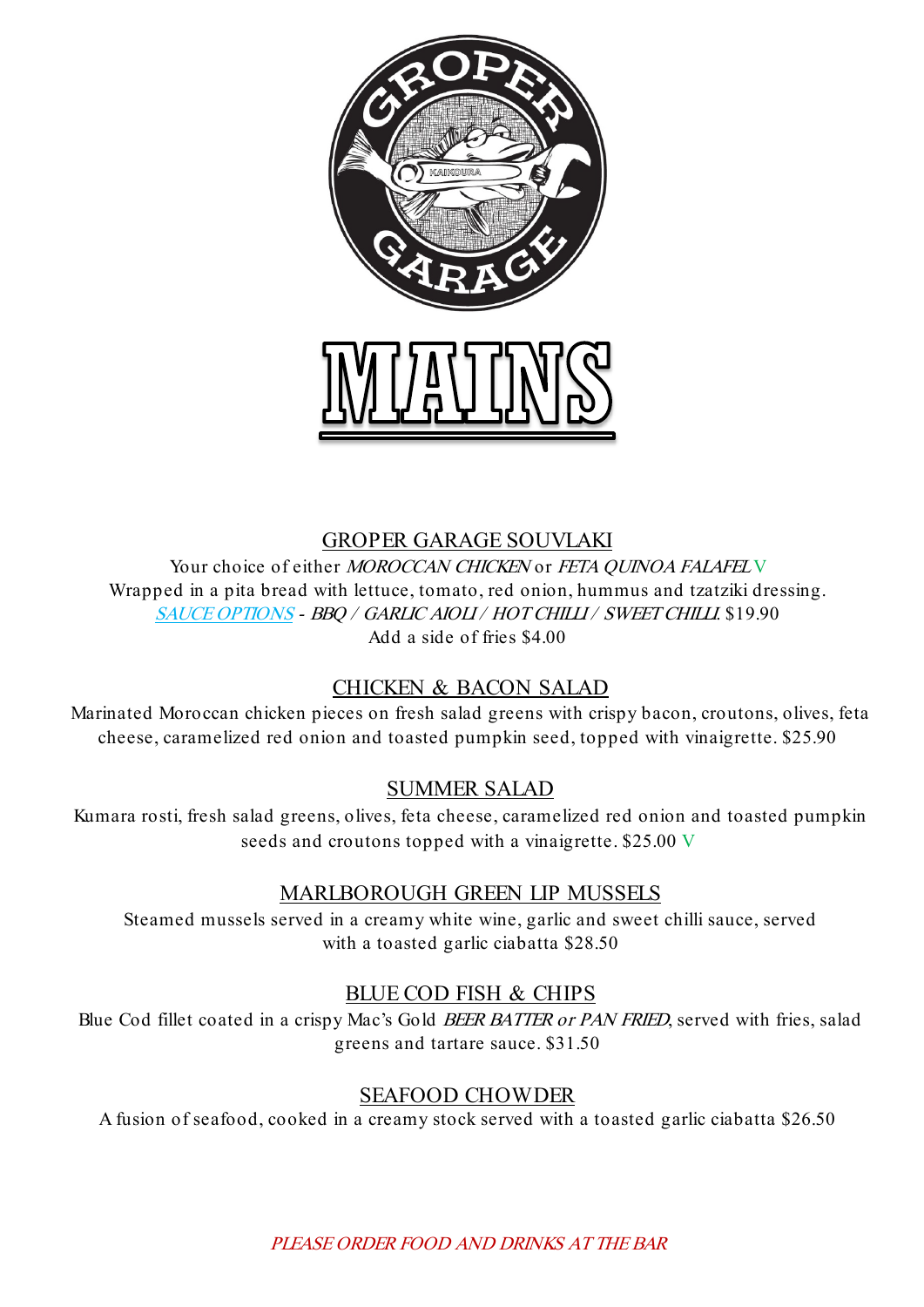

#### GROPER GARAGE SOUVLAKI

Your choice of either MOROCCAN CHICKEN or FETA OUINOA FALAFELY Wrapped in a pita bread with lettuce, tomato, red onion, hummus and tzatziki dressing. SAUCE OPTIONS - BBQ / GARLIC AIOLI / HOT CHILLI / SWEET CHILLI. \$19.90 Add a side of fries \$4.00

# CHICKEN & BACON SALAD

Marinated Moroccan chicken pieces on fresh salad greens with crispy bacon, croutons, olives, feta cheese, caramelized red onion and toasted pumpkin seed, topped with vinaigrette. \$25.90

# SUMMER SALAD

Kumara rosti, fresh salad greens, olives, feta cheese, caramelized red onion and toasted pumpkin seeds and croutons topped with a vinaigrette. \$25.00 V

# MARLBOROUGH GREEN LIP MUSSELS

Steamed mussels served in a creamy white wine, garlic and sweet chilli sauce, served with a toasted garlic ciabatta \$28.50

# BLUE COD FISH & CHIPS

Blue Cod fillet coated in a crispy Mac's Gold BEER BATTER or PAN FRIED, served with fries, salad greens and tartare sauce. \$31.50

# SEAFOOD CHOWDER

A fusion of seafood, cooked in a creamy stock served with a toasted garlic ciabatta \$26.50

PLEASE ORDER FOOD AND DRINKS AT THE BAR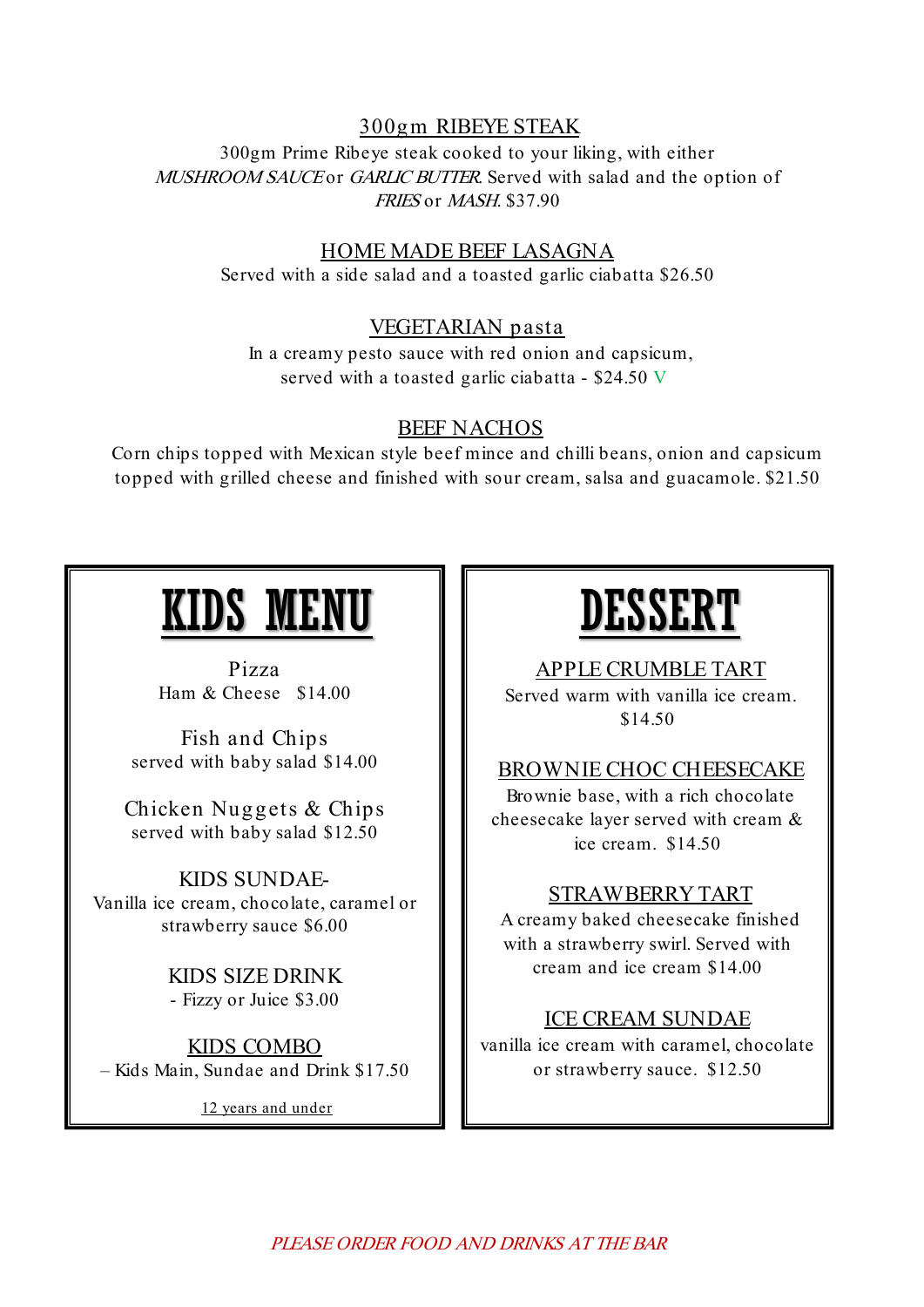# 300gm RIBEYE STEAK

300gm Prime Ribeye steak cooked to your liking, with either MUSHROOM SAUCE or GARLIC BUTTER. Served with salad and the option of FRIES or MASH. \$37.90

#### HOME MADE BEEF LASAGNA

Served with a side salad and a toasted garlic ciabatta \$26.50

#### VEGETARIAN pasta

In a creamy pesto sauce with red onion and capsicum, served with a toasted garlic ciabatta - \$24.50 V

#### BEEF NACHOS

Corn chips topped with Mexican style beef mince and chilli beans, onion and capsicum topped with grilled cheese and finished with sour cream, salsa and guacamole. \$21.50

# IDS MEN

Pizza Ham & Cheese \$14.00

Fish and Chips served with baby salad \$14.00

Chicken Nuggets & Chips served with baby salad \$12.50

KIDS SUNDAE-Vanilla ice cream, chocolate, caramel or strawberry sauce \$6.00

> KIDS SIZE DRINK - Fizzy or Juice \$3.00

KIDS COMBO – Kids Main, Sundae and Drink \$17.50

12 years and under

# DESSERT

APPLE CRUMBLE TART

Served warm with vanilla ice cream. \$14.50

# BROWNIE CHOC CHEESECAKE

Brownie base, with a rich chocolate cheesecake layer served with cream & ice cream. \$14.50

#### STRAWBERRY TART

A creamy baked cheesecake finished with a strawberry swirl. Served with cream and ice cream \$14.00

#### ICE CREAM SUNDAE

vanilla ice cream with caramel, chocolate or strawberry sauce. \$12.50